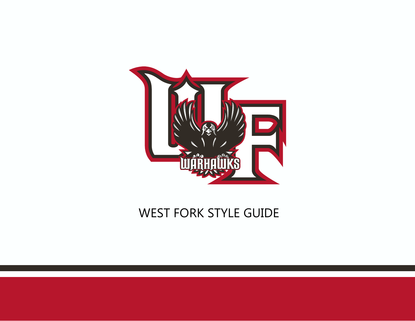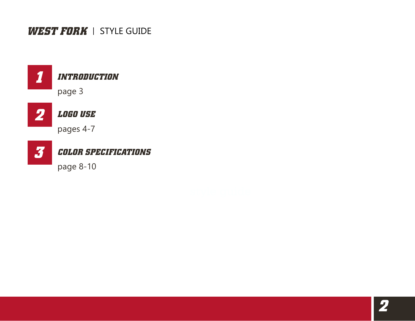

### *INTRODUCTION*

page 3



### *LOGO USE*

pages 4-7



### *COLOR SPECIFICATIONS*

page 8-10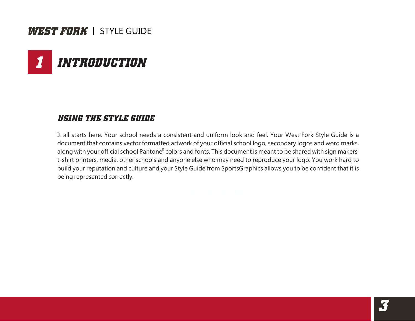# *1 INTRODUCTION*

### *USING THE STYLE GUIDE*

It all starts here. Your school needs a consistent and uniform look and feel. Your West Fork Style Guide is a document that contains vector formatted artwork of your official school logo, secondary logos and word marks, along with your official school Pantone® colors and fonts. This document is meant to be shared with sign makers, t-shirt printers, media, other schools and anyone else who may need to reproduce your logo. You work hard to build your reputation and culture and your Style Guide from SportsGraphics allows you to be confident that it is being represented correctly.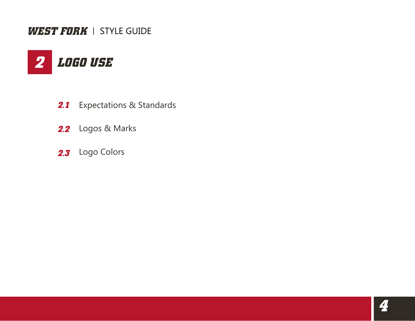

- 2.1 Expectations & Standards
- 2.2 Logos & Marks
- 2.3 Logo Colors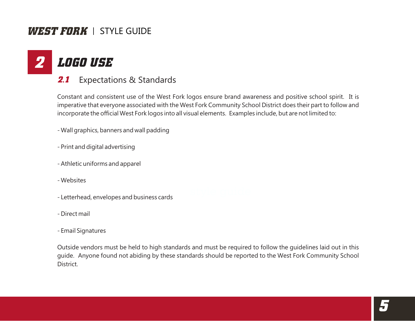#### *2 LOGO USE*

Expectations & Standards *2.1*

Constant and consistent use of the West Fork logos ensure brand awareness and positive school spirit. It is imperative that everyone associated with the West Fork Community School District does their part to follow and incorporate the official West Fork logos into all visual elements. Examples include, but are not limited to:

- Wall graphics, banners and wall padding

- Print and digital advertising
- Athletic uniforms and apparel
- Websites
- Letterhead, envelopes and business cards
- Direct mail
- Email Signatures

Outside vendors must be held to high standards and must be required to follow the guidelines laid out in this guide. Anyone found not abiding by these standards should be reported to the West Fork Community School District.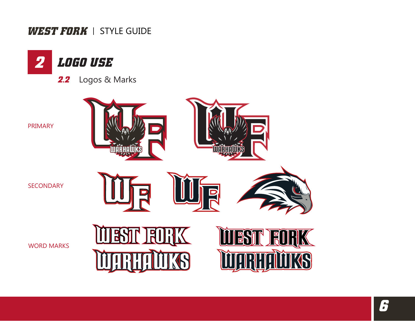

Logos & Marks *2.2*

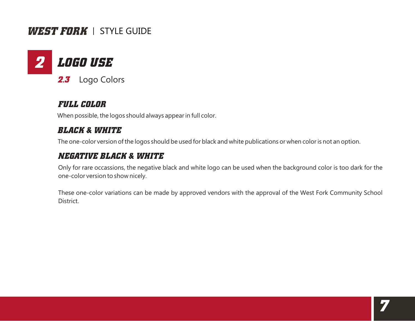

### *FULL COLOR*

When possible, the logos should always appear in full color.

### *BLACK & WHITE*

The one-color version of the logos should be used for black and white publications or when color is not an option.

### *NEGATIVE BLACK & WHITE*

Only for rare occassions, the negative black and white logo can be used when the background color is too dark for the one-color version to show nicely.

These one-color variations can be made by approved vendors with the approval of the West Fork Community School District.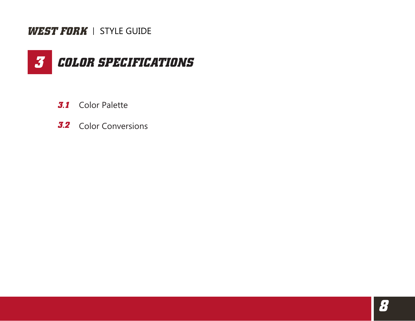

- **3.1** Color Palette
- **3.2** Color Conversions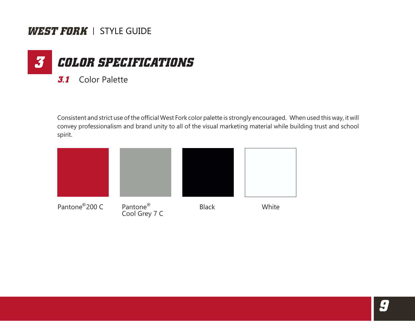

Consistent and strict use of the official West Fork color palette is strongly encouraged. When used this way, it will convey professionalism and brand unity to all of the visual marketing material while building trust and school spirit.

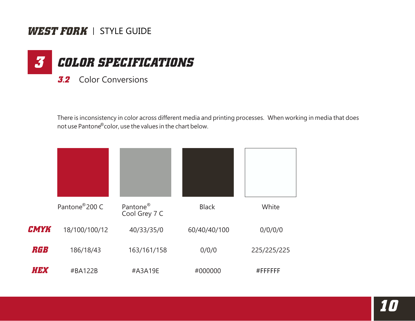

There is inconsistency in color across different media and printing processes. When working in media that does not use Pantone® color, use the values in the chart below.

|             | Pantone®200 C | Pantone <sup>®</sup><br>Cool Grey 7 C | <b>Black</b> | White       |
|-------------|---------------|---------------------------------------|--------------|-------------|
| <b>CMYK</b> | 18/100/100/12 | 40/33/35/0                            | 60/40/40/100 | 0/0/0/0     |
| RGB         | 186/18/43     | 163/161/158                           | 0/0/0        | 225/225/225 |
| <i>HEX</i>  | #BA122B       | #A3A19E                               | #000000      | #FFFFFFF    |